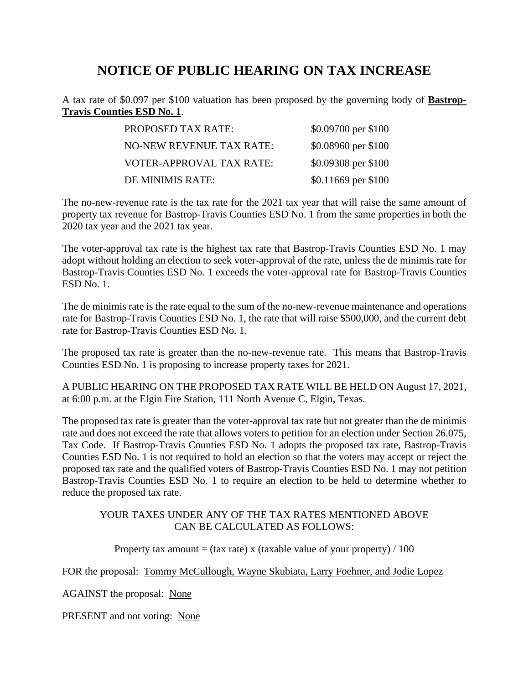## **NOTICE OF PUBLIC HEARING ON TAX INCREASE**

A tax rate of \$0.097 per \$100 valuation has been proposed by the governing body of **Bastrop-Travis Counties ESD No. 1**.

| <b>PROPOSED TAX RATE:</b>       | \$0.09700 per \$100 |
|---------------------------------|---------------------|
| <b>NO-NEW REVENUE TAX RATE:</b> | \$0.08960 per \$100 |
| VOTER-APPROVAL TAX RATE:        | \$0.09308 per \$100 |
| DE MINIMIS RATE:                | \$0.11669 per \$100 |

The no-new-revenue rate is the tax rate for the 2021 tax year that will raise the same amount of property tax revenue for Bastrop-Travis Counties ESD No. 1 from the same properties in both the 2020 tax year and the 2021 tax year.

The voter-approval tax rate is the highest tax rate that Bastrop-Travis Counties ESD No. 1 may adopt without holding an election to seek voter-approval of the rate, unless the de minimis rate for Bastrop-Travis Counties ESD No. 1 exceeds the voter-approval rate for Bastrop-Travis Counties ESD No. 1.

The de minimis rate is the rate equal to the sum of the no-new-revenue maintenance and operations rate for Bastrop-Travis Counties ESD No. 1, the rate that will raise \$500,000, and the current debt rate for Bastrop-Travis Counties ESD No. 1.

The proposed tax rate is greater than the no-new-revenue rate. This means that Bastrop-Travis Counties ESD No. 1 is proposing to increase property taxes for 2021.

A PUBLIC HEARING ON THE PROPOSED TAX RATE WILL BE HELD ON August 17, 2021, at 6:00 p.m. at the Elgin Fire Station, 111 North Avenue C, Elgin, Texas.

The proposed tax rate is greater than the voter-approval tax rate but not greater than the de minimis rate and does not exceed the rate that allows voters to petition for an election under Section 26.075, Tax Code. If Bastrop-Travis Counties ESD No. 1 adopts the proposed tax rate, Bastrop-Travis Counties ESD No. 1 is not required to hold an election so that the voters may accept or reject the proposed tax rate and the qualified voters of Bastrop-Travis Counties ESD No. 1 may not petition Bastrop-Travis Counties ESD No. 1 to require an election to be held to determine whether to reduce the proposed tax rate.

## YOUR TAXES UNDER ANY OF THE TAX RATES MENTIONED ABOVE CAN BE CALCULATED AS FOLLOWS:

Property tax amount  $=$  (tax rate) x (taxable value of your property) / 100

FOR the proposal: Tommy McCullough, Wayne Skubiata, Larry Foehner, and Jodie Lopez

AGAINST the proposal: None

PRESENT and not voting: None